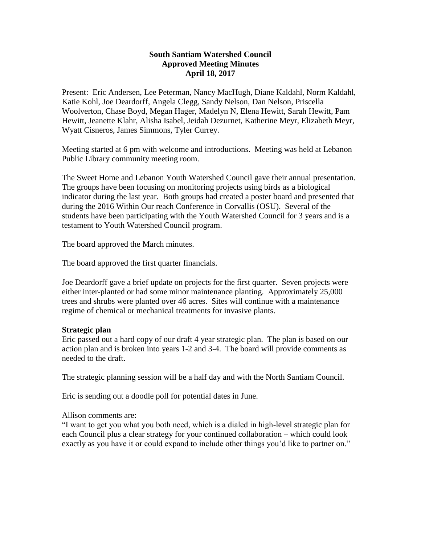# **South Santiam Watershed Council Approved Meeting Minutes April 18, 2017**

Present: Eric Andersen, Lee Peterman, Nancy MacHugh, Diane Kaldahl, Norm Kaldahl, Katie Kohl, Joe Deardorff, Angela Clegg, Sandy Nelson, Dan Nelson, Priscella Woolverton, Chase Boyd, Megan Hager, Madelyn N, Elena Hewitt, Sarah Hewitt, Pam Hewitt, Jeanette Klahr, Alisha Isabel, Jeidah Dezurnet, Katherine Meyr, Elizabeth Meyr, Wyatt Cisneros, James Simmons, Tyler Currey.

Meeting started at 6 pm with welcome and introductions. Meeting was held at Lebanon Public Library community meeting room.

The Sweet Home and Lebanon Youth Watershed Council gave their annual presentation. The groups have been focusing on monitoring projects using birds as a biological indicator during the last year. Both groups had created a poster board and presented that during the 2016 Within Our reach Conference in Corvallis (OSU). Several of the students have been participating with the Youth Watershed Council for 3 years and is a testament to Youth Watershed Council program.

The board approved the March minutes.

The board approved the first quarter financials.

Joe Deardorff gave a brief update on projects for the first quarter. Seven projects were either inter-planted or had some minor maintenance planting. Approximately 25,000 trees and shrubs were planted over 46 acres. Sites will continue with a maintenance regime of chemical or mechanical treatments for invasive plants.

## **Strategic plan**

Eric passed out a hard copy of our draft 4 year strategic plan. The plan is based on our action plan and is broken into years 1-2 and 3-4. The board will provide comments as needed to the draft.

The strategic planning session will be a half day and with the North Santiam Council.

Eric is sending out a doodle poll for potential dates in June.

Allison comments are:

"I want to get you what you both need, which is a dialed in high-level strategic plan for each Council plus a clear strategy for your continued collaboration – which could look exactly as you have it or could expand to include other things you'd like to partner on."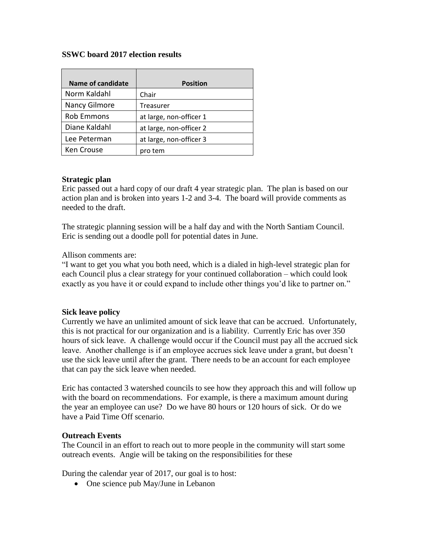### **SSWC board 2017 election results**

| <b>Name of candidate</b> | <b>Position</b>         |
|--------------------------|-------------------------|
| Norm Kaldahl             | Chair                   |
| Nancy Gilmore            | Treasurer               |
| <b>Rob Emmons</b>        | at large, non-officer 1 |
| Diane Kaldahl            | at large, non-officer 2 |
| Lee Peterman             | at large, non-officer 3 |
| Ken Crouse               | pro tem                 |

#### **Strategic plan**

Eric passed out a hard copy of our draft 4 year strategic plan. The plan is based on our action plan and is broken into years 1-2 and 3-4. The board will provide comments as needed to the draft.

The strategic planning session will be a half day and with the North Santiam Council. Eric is sending out a doodle poll for potential dates in June.

#### Allison comments are:

"I want to get you what you both need, which is a dialed in high-level strategic plan for each Council plus a clear strategy for your continued collaboration – which could look exactly as you have it or could expand to include other things you'd like to partner on."

#### **Sick leave policy**

Currently we have an unlimited amount of sick leave that can be accrued. Unfortunately, this is not practical for our organization and is a liability. Currently Eric has over 350 hours of sick leave. A challenge would occur if the Council must pay all the accrued sick leave. Another challenge is if an employee accrues sick leave under a grant, but doesn't use the sick leave until after the grant. There needs to be an account for each employee that can pay the sick leave when needed.

Eric has contacted 3 watershed councils to see how they approach this and will follow up with the board on recommendations. For example, is there a maximum amount during the year an employee can use? Do we have 80 hours or 120 hours of sick. Or do we have a Paid Time Off scenario.

#### **Outreach Events**

The Council in an effort to reach out to more people in the community will start some outreach events. Angie will be taking on the responsibilities for these

During the calendar year of 2017, our goal is to host:

• One science pub May/June in Lebanon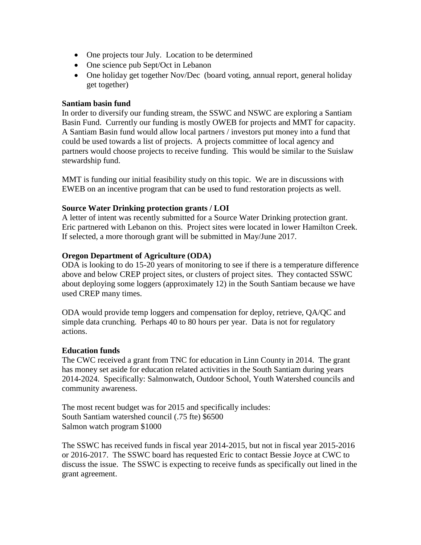- One projects tour July. Location to be determined
- One science pub Sept/Oct in Lebanon
- One holiday get together Nov/Dec (board voting, annual report, general holiday get together)

## **Santiam basin fund**

In order to diversify our funding stream, the SSWC and NSWC are exploring a Santiam Basin Fund. Currently our funding is mostly OWEB for projects and MMT for capacity. A Santiam Basin fund would allow local partners / investors put money into a fund that could be used towards a list of projects. A projects committee of local agency and partners would choose projects to receive funding. This would be similar to the Suislaw stewardship fund.

MMT is funding our initial feasibility study on this topic. We are in discussions with EWEB on an incentive program that can be used to fund restoration projects as well.

# **Source Water Drinking protection grants / LOI**

A letter of intent was recently submitted for a Source Water Drinking protection grant. Eric partnered with Lebanon on this. Project sites were located in lower Hamilton Creek. If selected, a more thorough grant will be submitted in May/June 2017.

# **Oregon Department of Agriculture (ODA)**

ODA is looking to do 15-20 years of monitoring to see if there is a temperature difference above and below CREP project sites, or clusters of project sites. They contacted SSWC about deploying some loggers (approximately 12) in the South Santiam because we have used CREP many times.

ODA would provide temp loggers and compensation for deploy, retrieve, QA/QC and simple data crunching. Perhaps 40 to 80 hours per year. Data is not for regulatory actions.

## **Education funds**

The CWC received a grant from TNC for education in Linn County in 2014. The grant has money set aside for education related activities in the South Santiam during years 2014-2024. Specifically: Salmonwatch, Outdoor School, Youth Watershed councils and community awareness.

The most recent budget was for 2015 and specifically includes: South Santiam watershed council (.75 fte) \$6500 Salmon watch program \$1000

The SSWC has received funds in fiscal year 2014-2015, but not in fiscal year 2015-2016 or 2016-2017. The SSWC board has requested Eric to contact Bessie Joyce at CWC to discuss the issue. The SSWC is expecting to receive funds as specifically out lined in the grant agreement.